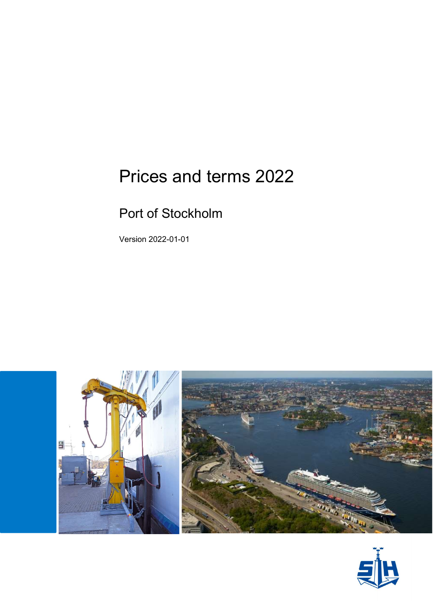# Prices and terms 2022

## Port of Stockholm

Version 2022-01-01



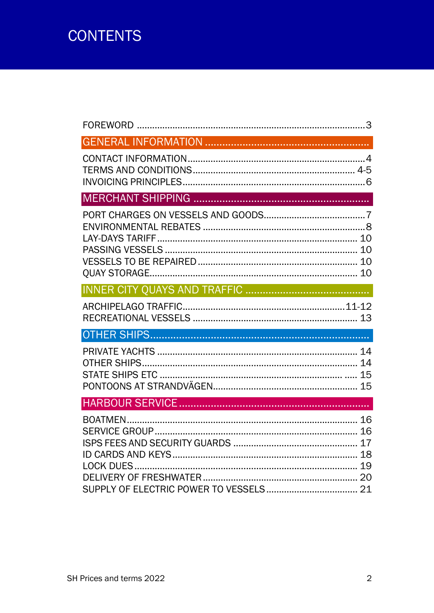# **CONTENTS**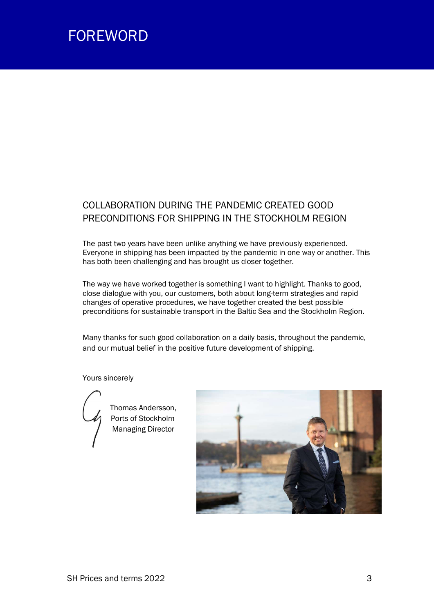

## COLLABORATION DURING THE PANDEMIC CREATED GOOD PRECONDITIONS FOR SHIPPING IN THE STOCKHOLM REGION

The past two years have been unlike anything we have previously experienced. Everyone in shipping has been impacted by the pandemic in one way or another. This has both been challenging and has brought us closer together.

The way we have worked together is something I want to highlight. Thanks to good, close dialogue with you, our customers, both about long-term strategies and rapid changes of operative procedures, we have together created the best possible preconditions for sustainable transport in the Baltic Sea and the Stockholm Region.

Many thanks for such good collaboration on a daily basis, throughout the pandemic, and our mutual belief in the positive future development of shipping.

#### Yours sincerely



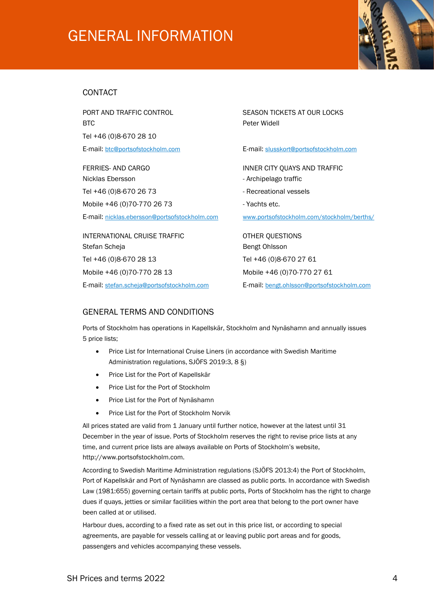# GENERAL INFORMATION



### CONTACT

BTC Peter Widell Tel +46 (0)8-670 28 10

Nicklas Ebersson **Archipelago traffic - Archipelago traffic** Tel +46 (0)8-670 26 73 - Tel +46 (0)8-670 26 73 Mobile +46 (0)70-770 26 73 - Yachts etc.

E-mail: nicklas.ebersson@portsofstockholm.com www.portsofstockholm.com/stockholm/berths/

INTERNATIONAL CRUISE TRAFFIC **CONTROLL CONTROL** OTHER QUESTIONS Stefan Scheja Bengt Ohlsson Tel +46 (0)8-670 28 13 Tel +46 (0)8-670 27 61 Mobile +46 (0)70-770 28 13 Mobile +46 (0)70-770 27 61

E-mail: stefan.scheja@portsofstockholm.com E-mail: bengt.ohlsson@portsofstockholm.com

PORT AND TRAFFIC CONTROL **Example 20 SEASON TICKETS AT OUR LOCKS** 

E-mail: btc@portsofstockholm.com E-mail: slusskort@portsofstockholm.com

FERRIES- AND CARGO **INNER CITY QUAYS AND TRAFFIC** 

- 
- 
- 

## GENERAL TERMS AND CONDITIONS

Ports of Stockholm has operations in Kapellskär, Stockholm and Nynäshamn and annually issues 5 price lists;

- Price List for International Cruise Liners (in accordance with Swedish Maritime Administration regulations, SJÖFS 2019:3, 8 §)
- Price List for the Port of Kapellskär
- Price List for the Port of Stockholm
- Price List for the Port of Nynäshamn
- Price List for the Port of Stockholm Norvik

All prices stated are valid from 1 January until further notice, however at the latest until 31 December in the year of issue. Ports of Stockholm reserves the right to revise price lists at any time, and current price lists are always available on Ports of Stockholm's website, http://www.portsofstockholm.com.

According to Swedish Maritime Administration regulations (SJÖFS 2013:4) the Port of Stockholm, Port of Kapellskär and Port of Nynäshamn are classed as public ports. In accordance with Swedish Law (1981:655) governing certain tariffs at public ports, Ports of Stockholm has the right to charge dues if quays, jetties or similar facilities within the port area that belong to the port owner have been called at or utilised.

Harbour dues, according to a fixed rate as set out in this price list, or according to special agreements, are payable for vessels calling at or leaving public port areas and for goods, passengers and vehicles accompanying these vessels.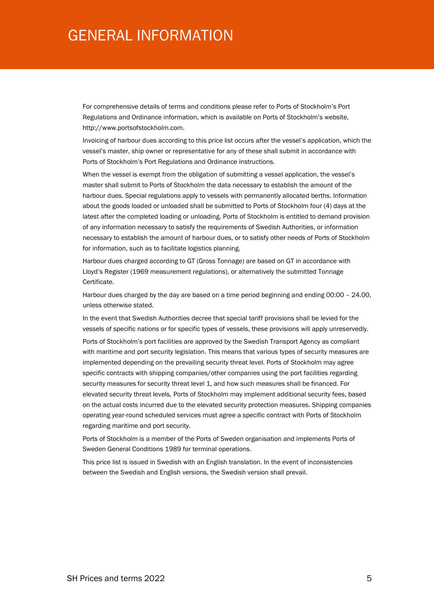## GENERAL INFORMATION

For comprehensive details of terms and conditions please refer to Ports of Stockholm's Port Regulations and Ordinance information, which is available on Ports of Stockholm's website, http://www.portsofstockholm.com.

Invoicing of harbour dues according to this price list occurs after the vessel's application, which the vessel's master, ship owner or representative for any of these shall submit in accordance with Ports of Stockholm's Port Regulations and Ordinance instructions.

When the vessel is exempt from the obligation of submitting a vessel application, the vessel's master shall submit to Ports of Stockholm the data necessary to establish the amount of the harbour dues. Special regulations apply to vessels with permanently allocated berths. Information about the goods loaded or unloaded shall be submitted to Ports of Stockholm four (4) days at the latest after the completed loading or unloading. Ports of Stockholm is entitled to demand provision of any information necessary to satisfy the requirements of Swedish Authorities, or information necessary to establish the amount of harbour dues, or to satisfy other needs of Ports of Stockholm for information, such as to facilitate logistics planning.

Harbour dues charged according to GT (Gross Tonnage) are based on GT in accordance with Lloyd's Register (1969 measurement regulations), or alternatively the submitted Tonnage Certificate.

Harbour dues charged by the day are based on a time period beginning and ending 00:00 – 24.00, unless otherwise stated.

In the event that Swedish Authorities decree that special tariff provisions shall be levied for the vessels of specific nations or for specific types of vessels, these provisions will apply unreservedly.

Ports of Stockholm's port facilities are approved by the Swedish Transport Agency as compliant with maritime and port security legislation. This means that various types of security measures are implemented depending on the prevailing security threat level. Ports of Stockholm may agree specific contracts with shipping companies/other companies using the port facilities regarding security measures for security threat level 1, and how such measures shall be financed. For elevated security threat levels, Ports of Stockholm may implement additional security fees, based on the actual costs incurred due to the elevated security protection measures. Shipping companies operating year-round scheduled services must agree a specific contract with Ports of Stockholm regarding maritime and port security.

Ports of Stockholm is a member of the Ports of Sweden organisation and implements Ports of Sweden General Conditions 1989 for terminal operations.

This price list is issued in Swedish with an English translation. In the event of inconsistencies between the Swedish and English versions, the Swedish version shall prevail.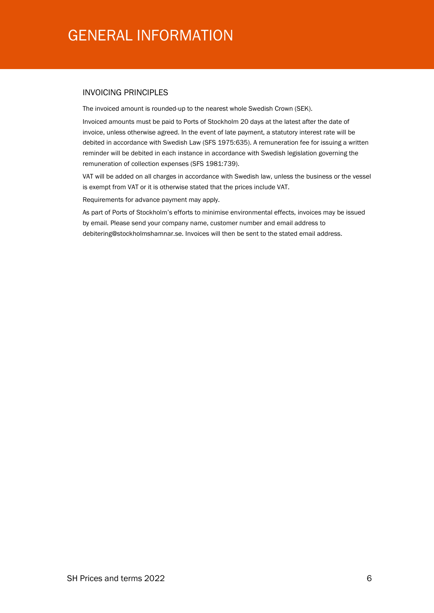# GENERAL INFORMATION

### INVOICING PRINCIPLES

The invoiced amount is rounded-up to the nearest whole Swedish Crown (SEK).

Invoiced amounts must be paid to Ports of Stockholm 20 days at the latest after the date of invoice, unless otherwise agreed. In the event of late payment, a statutory interest rate will be debited in accordance with Swedish Law (SFS 1975:635). A remuneration fee for issuing a written reminder will be debited in each instance in accordance with Swedish legislation governing the remuneration of collection expenses (SFS 1981:739).

VAT will be added on all charges in accordance with Swedish law, unless the business or the vessel is exempt from VAT or it is otherwise stated that the prices include VAT.

Requirements for advance payment may apply.

As part of Ports of Stockholm's efforts to minimise environmental effects, invoices may be issued by email. Please send your company name, customer number and email address to debitering@stockholmshamnar.se. Invoices will then be sent to the stated email address.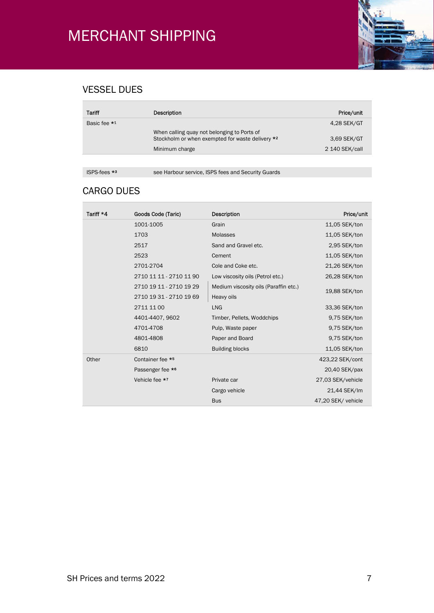

## VESSEL DUES

| Tariff       | <b>Description</b>                                                                              | Price/unit     |
|--------------|-------------------------------------------------------------------------------------------------|----------------|
| Basic fee *1 |                                                                                                 | 4,28 SEK/GT    |
|              | When calling quay not belonging to Ports of<br>Stockholm or when exempted for waste delivery *2 | 3,69 SEK/GT    |
|              | Minimum charge                                                                                  | 2 140 SEK/call |
|              |                                                                                                 |                |

F

ISPS-fees \*<sup>3</sup> see Harbour service, ISPS fees and Security Guards

## CARGO DUES

| Tariff *4 | Goods Code (Taric)      | Description                           | Price/unit         |
|-----------|-------------------------|---------------------------------------|--------------------|
|           | 1001-1005               | Grain                                 | 11,05 SEK/ton      |
|           | 1703                    | <b>Molasses</b>                       | 11,05 SEK/ton      |
|           | 2517                    | Sand and Gravel etc.                  | 2,95 SEK/ton       |
|           | 2523                    | Cement                                | 11,05 SEK/ton      |
|           | 2701-2704               | Cole and Coke etc.                    | 21,26 SEK/ton      |
|           | 2710 11 11 - 2710 11 90 | Low viscosity oils (Petrol etc.)      | 26,28 SEK/ton      |
|           | 2710 19 11 - 2710 19 29 | Medium viscosity oils (Paraffin etc.) | 19,88 SEK/ton      |
|           | 2710 19 31 - 2710 19 69 | Heavy oils                            |                    |
|           | 2711 11 00              | <b>LNG</b>                            | 33,36 SEK/ton      |
|           | 4401-4407, 9602         | Timber, Pellets, Woddchips            | 9,75 SEK/ton       |
|           | 4701-4708               | Pulp, Waste paper                     | 9,75 SEK/ton       |
|           | 4801-4808               | Paper and Board                       | 9,75 SEK/ton       |
|           | 6810                    | <b>Building blocks</b>                | 11,05 SEK/ton      |
| Other     | Container fee *5        |                                       | 423,22 SEK/cont    |
|           | Passenger fee *6        |                                       | 20,40 SEK/pax      |
|           | Vehicle fee *7          | Private car                           | 27,03 SEK/vehicle  |
|           |                         | Cargo vehicle                         | 21,44 SEK/lm       |
|           |                         | <b>Bus</b>                            | 47,20 SEK/ vehicle |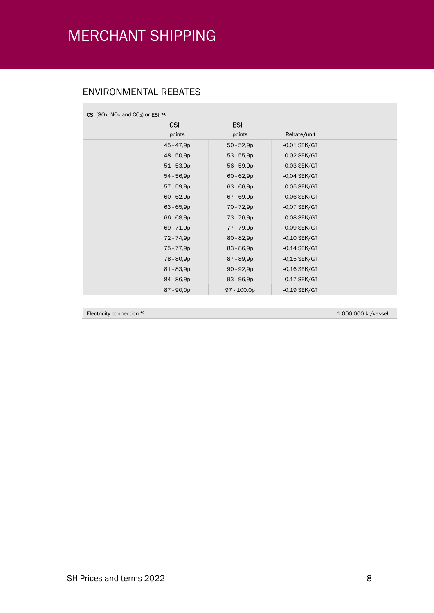## ENVIRONMENTAL REBATES

Γ

| CSI (SOx, NOx and CO <sub>2</sub> ) or ESI $*$ <sup>8</sup> |              |                |  |
|-------------------------------------------------------------|--------------|----------------|--|
| <b>CSI</b>                                                  | <b>ESI</b>   |                |  |
| points                                                      | points       | Rebate/unit    |  |
| 45 - 47,9p                                                  | $50 - 52,9p$ | $-0.01$ SEK/GT |  |
| 48 - 50,9p                                                  | $53 - 55,9p$ | $-0.02$ SEK/GT |  |
| $51 - 53,9p$                                                | 56 - 59,9p   | $-0.03$ SEK/GT |  |
| 54 - 56,9p                                                  | $60 - 62,9p$ | $-0,04$ SEK/GT |  |
| 57 - 59,9p                                                  | $63 - 66,9p$ | $-0,05$ SEK/GT |  |
| $60 - 62,9p$                                                | 67 - 69,9p   | $-0,06$ SEK/GT |  |
| $63 - 65,9p$                                                | 70 - 72,9p   | $-0.07$ SEK/GT |  |
| 66 - 68,9p                                                  | 73 - 76,9p   | $-0.08$ SEK/GT |  |
| 69 - 71,9p                                                  | 77 - 79,9p   | $-0.09$ SEK/GT |  |
| 72 - 74,9p                                                  | $80 - 82,9p$ | $-0,10$ SEK/GT |  |
| 75 - 77,9p                                                  | 83 - 86,9p   | $-0,14$ SEK/GT |  |
| 78 - 80,9p                                                  | 87 - 89,9p   | $-0,15$ SEK/GT |  |
| 81 - 83,9p                                                  | $90 - 92,9p$ | $-0,16$ SEK/GT |  |
| 84 - 86,9p                                                  | 93 - 96,9p   | $-0,17$ SEK/GT |  |
| 87 - 90,0p                                                  | 97 - 100,0p  | $-0,19$ SEK/GT |  |

Electricity connection \*9 -1 000 000 kr/vessel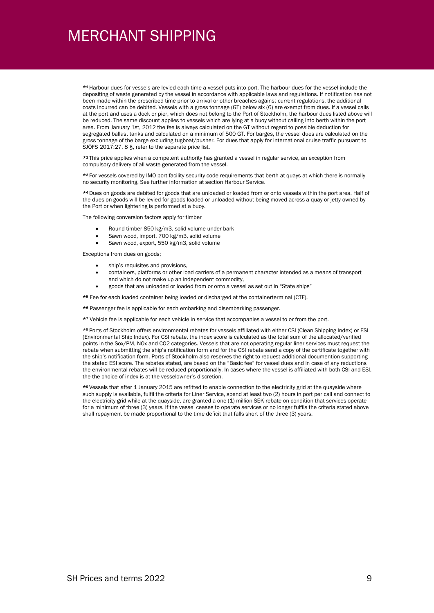\*<sup>1</sup> Harbour dues for vessels are levied each time a vessel puts into port. The harbour dues for the vessel include the depositing of waste generated by the vessel in accordance with applicable laws and regulations. If notification has not been made within the prescribed time prior to arrival or other breaches against current regulations, the additional costs incurred can be debited. Vessels with a gross tonnage (GT) below six (6) are exempt from dues. If a vessel calls at the port and uses a dock or pier, which does not belong to the Port of Stockholm, the harbour dues listed above will be reduced. The same discount applies to vessels which are lying at a buoy without calling into berth within the port area. From January 1st, 2012 the fee is always calculated on the GT without regard to possible deduction for segregated ballast tanks and calculated on a minimum of 500 GT. For barges, the vessel dues are calculated on the gross tonnage of the barge excluding tugboat/pusher. For dues that apply for international cruise traffic pursuant to SJÖFS 2017:27, 8 §, refer to the separate price list.

\*<sup>2</sup> This price applies when a competent authority has granted a vessel in regular service, an exception from compulsory delivery of all waste generated from the vessel.

\*<sup>3</sup> For vessels covered by IMO port facility security code requirements that berth at quays at which there is normally no security monitoring. See further information at section Harbour Service.

\*<sup>4</sup> Dues on goods are debited for goods that are unloaded or loaded from or onto vessels within the port area. Half of the dues on goods will be levied for goods loaded or unloaded without being moved across a quay or jetty owned by the Port or when lightering is performed at a buoy.

The following conversion factors apply for timber

- Round timber 850 kg/m3, solid volume under bark
- Sawn wood, import, 700 kg/m3, solid volume
- Sawn wood, export, 550 kg/m3, solid volume

Exceptions from dues on goods;

- ship's requisites and provisions,
- containers, platforms or other load carriers of a permanent character intended as a means of transport and which do not make up an independent commodity,
- goods that are unloaded or loaded from or onto a vessel as set out in "State ships"

\*5 Fee for each loaded container being loaded or discharged at the containerterminal (CTF).

- \*6 Passenger fee is applicable for each embarking and disembarking passenger.
- \*7 Vehicle fee is applicable for each vehicle in service that accompanies a vessel to or from the port.

\*8 Ports of Stockholm offers environmental rebates for vessels affiliated with either CSI (Clean Shipping Index) or ESI (Environmental Ship Index). For CSI rebate, the index score is calculated as the total sum of the allocated/verified points in the Sox/PM, NOx and CO2 categories. Vessels that are not operating regular liner services must request the rebate when submitting the ship's notification form and for the CSI rebate send a copy of the certificate together with the ship's notification form. Ports of Stockholm also reserves the right to request additional documention supporting the stated ESI score. The rebates stated, are based on the "Basic fee" for vessel dues and in case of any reductions the environmental rebates will be reduced proportionally. In cases where the vessel is affiliated with both CSI and ESI, the the choice of index is at the vesselowner's discretion.

\*<sup>9</sup> Vessels that after 1 January 2015 are refitted to enable connection to the electricity grid at the quayside where such supply is available, fulfil the criteria for Liner Service, spend at least two (2) hours in port per call and connect to the electricity grid while at the quayside, are granted a one (1) million SEK rebate on condition that services operate for a minimum of three (3) years. If the vessel ceases to operate services or no longer fulfils the criteria stated above shall repayment be made proportional to the time deficit that falls short of the three (3) years.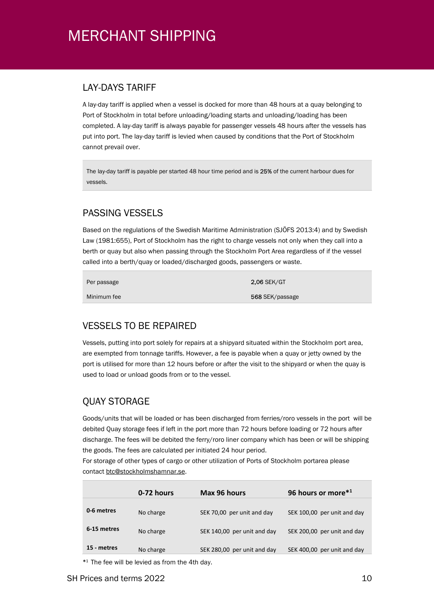## LAY-DAYS TARIFF

A lay-day tariff is applied when a vessel is docked for more than 48 hours at a quay belonging to Port of Stockholm in total before unloading/loading starts and unloading/loading has been completed. A lay-day tariff is always payable for passenger vessels 48 hours after the vessels has put into port. The lay-day tariff is levied when caused by conditions that the Port of Stockholm cannot prevail over.

The lay-day tariff is payable per started 48 hour time period and is 25% of the current harbour dues for vessels.

## PASSING VESSELS

Based on the regulations of the Swedish Maritime Administration (SJÖFS 2013:4) and by Swedish Law (1981:655), Port of Stockholm has the right to charge vessels not only when they call into a berth or quay but also when passing through the Stockholm Port Area regardless of if the vessel called into a berth/quay or loaded/discharged goods, passengers or waste.

Per passage

Minimum fee

2,06 SEK/GT 568 SEK/passage

## VESSELS TO BE REPAIRED

Vessels, putting into port solely for repairs at a shipyard situated within the Stockholm port area, are exempted from tonnage tariffs. However, a fee is payable when a quay or jetty owned by the port is utilised for more than 12 hours before or after the visit to the shipyard or when the quay is used to load or unload goods from or to the vessel.

## QUAY STORAGE

Goods/units that will be loaded or has been discharged from ferries/roro vessels in the port will be debited Quay storage fees if left in the port more than 72 hours before loading or 72 hours after discharge. The fees will be debited the ferry/roro liner company which has been or will be shipping the goods. The fees are calculated per initiated 24 hour period.

For storage of other types of cargo or other utilization of Ports of Stockholm portarea please contact btc@stockholmshamnar.se.

|             | 0-72 hours | Max 96 hours                | 96 hours or more*1          |
|-------------|------------|-----------------------------|-----------------------------|
| 0-6 metres  | No charge  | SEK 70,00 per unit and day  | SEK 100,00 per unit and day |
| 6-15 metres | No charge  | SEK 140,00 per unit and day | SEK 200,00 per unit and day |
| 15 - metres | No charge  | SEK 280,00 per unit and day | SEK 400,00 per unit and day |

\* <sup>1</sup> The fee will be levied as from the 4th day.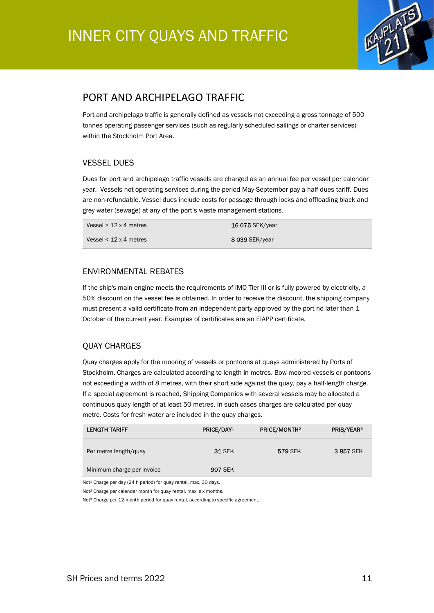

## PORT AND ARCHIPELAGO TRAFFIC

Port and archipelago traffic is generally defined as vessels not exceeding a gross tonnage of 500 tonnes operating passenger services (such as regularly scheduled sailings or charter services) within the Stockholm Port Area.

### VESSEL DUES

Dues for port and archipelago traffic vessels are charged as an annual fee per vessel per calendar year. Vessels not operating services during the period May-September pay a half dues tariff. Dues are non-refundable. Vessel dues include costs for passage through locks and offloading black and grey water (sewage) at any of the port's waste management stations.

| Vessel $> 12 \times 4$ metres | <b>16 075 SEK/year</b> |
|-------------------------------|------------------------|
| Vessel $<$ 12 x 4 metres      | <b>8 039 SEK/year</b>  |

### ENVIRONMENTAL REBATES

If the ship's main engine meets the requirements of IMO Tier III or is fully powered by electricity, a 50% discount on the vessel fee is obtained. In order to receive the discount, the shipping company must present a valid certificate from an independent party approved by the port no later than 1 October of the current year. Examples of certificates are an EIAPP certificate.

## QUAY CHARGES

Quay charges apply for the mooring of vessels or pontoons at quays administered by Ports of Stockholm. Charges are calculated according to length in metres. Bow-moored vessels or pontoons not exceeding a width of 8 metres, with their short side against the quay, pay a half-length charge. If a special agreement is reached, Shipping Companies with several vessels may be allocated a continuous quay length of at least 50 metres. In such cases charges are calculated per quay metre. Costs for fresh water are included in the quay charges.

| <b>LENGTH TARIFF</b>       | PRICE/DAY <sup>1</sup> | <b>PRICE/MONTH2</b> | <b>PRIS/YEAR3</b> |
|----------------------------|------------------------|---------------------|-------------------|
| Per metre length/quay      | <b>31 SEK</b>          | 579 SEK             | 3857 SEK          |
| Minimum charge per invoice | <b>907 SEK</b>         |                     |                   |

Not<sup>1</sup> Charge per day (24 h period) for quay rental, max. 30 days.

Not² Charge per calendar month for quay rental, max. six months.

Not<sup>3</sup> Charge per 12-month period for quay rental, according to specific agreement.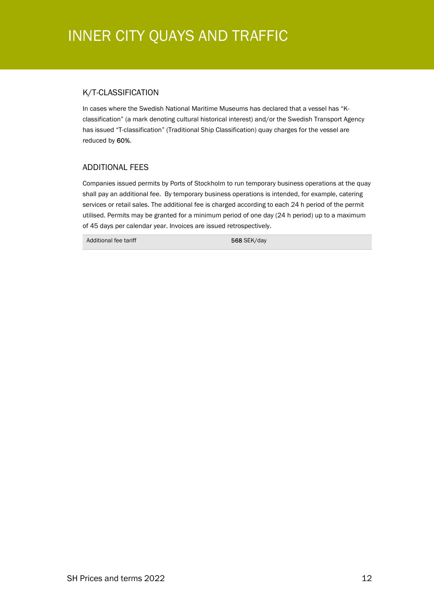## INNER CITY QUAYS AND TRAFFIC

### K/T-CLASSIFICATION

In cases where the Swedish National Maritime Museums has declared that a vessel has "Kclassification" (a mark denoting cultural historical interest) and/or the Swedish Transport Agency has issued "T-classification" (Traditional Ship Classification) quay charges for the vessel are reduced by 60%.

### ADDITIONAL FEES

Companies issued permits by Ports of Stockholm to run temporary business operations at the quay shall pay an additional fee. By temporary business operations is intended, for example, catering services or retail sales. The additional fee is charged according to each 24 h period of the permit utilised. Permits may be granted for a minimum period of one day (24 h period) up to a maximum of 45 days per calendar year. Invoices are issued retrospectively.

Additional fee tariff 568 SEK/day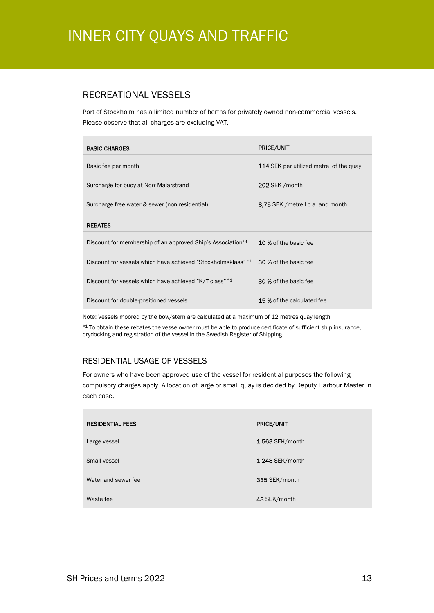# INNER CITY QUAYS AND TRAFFIC

## RECREATIONAL VESSELS

Port of Stockholm has a limited number of berths for privately owned non-commercial vessels. Please observe that all charges are excluding VAT.

| <b>BASIC CHARGES</b>                                                    | <b>PRICE/UNIT</b>                             |
|-------------------------------------------------------------------------|-----------------------------------------------|
| Basic fee per month                                                     | <b>114</b> SEK per utilized metre of the quay |
| Surcharge for buoy at Norr Mälarstrand                                  | 202 SEK / month                               |
| Surcharge free water & sewer (non residential)                          | 8.75 SEK / metre I.o.a. and month             |
| <b>REBATES</b>                                                          |                                               |
| Discount for membership of an approved Ship's Association <sup>*1</sup> | 10 % of the basic fee                         |
| Discount for vessels which have achieved "Stockholmsklass" *1           | <b>30 %</b> of the basic fee                  |
| Discount for vessels which have achieved "K/T class" *1                 | <b>30 % of the basic fee</b>                  |
| Discount for double-positioned vessels                                  | 15 % of the calculated fee                    |

Note: Vessels moored by the bow/stern are calculated at a maximum of 12 metres quay length.

\*1 To obtain these rebates the vesselowner must be able to produce certificate of sufficient ship insurance, drydocking and registration of the vessel in the Swedish Register of Shipping.

## RESIDENTIAL USAGE OF VESSELS

For owners who have been approved use of the vessel for residential purposes the following compulsory charges apply. Allocation of large or small quay is decided by Deputy Harbour Master in each case.

| <b>RESIDENTIAL FEES</b> | <b>PRICE/UNIT</b> |
|-------------------------|-------------------|
| Large vessel            | $1563$ SEK/month  |
| Small vessel            | 1 248 SEK/month   |
| Water and sewer fee     | 335 SEK/month     |
| Waste fee               | 43 SEK/month      |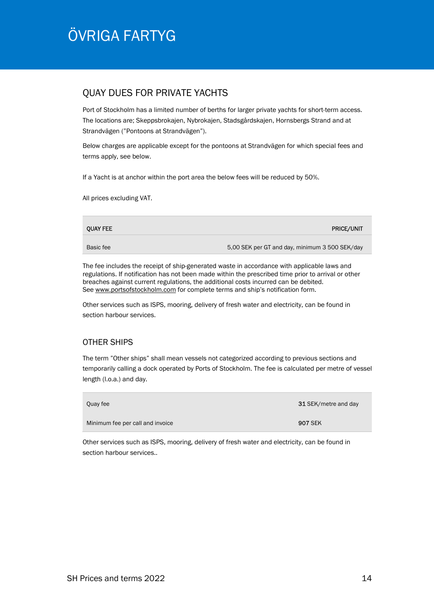# ÖVRIGA FARTYG

## QUAY DUES FOR PRIVATE YACHTS

Port of Stockholm has a limited number of berths for larger private yachts for short-term access. The locations are; Skeppsbrokajen, Nybrokajen, Stadsgårdskajen, Hornsbergs Strand and at Strandvägen ("Pontoons at Strandvägen").

Below charges are applicable except for the pontoons at Strandvägen for which special fees and terms apply, see below.

If a Yacht is at anchor within the port area the below fees will be reduced by 50%.

All prices excluding VAT.

| <b>QUAY FEE</b> | <b>PRICE/UNIT</b>                              |
|-----------------|------------------------------------------------|
| Basic fee       | 5,00 SEK per GT and day, minimum 3 500 SEK/day |

The fee includes the receipt of ship-generated waste in accordance with applicable laws and regulations. If notification has not been made within the prescribed time prior to arrival or other breaches against current regulations, the additional costs incurred can be debited. See www.portsofstockholm.com for complete terms and ship's notification form.

Other services such as ISPS, mooring, delivery of fresh water and electricity, can be found in section harbour services.

### OTHER SHIPS

The term "Other ships" shall mean vessels not categorized according to previous sections and temporarily calling a dock operated by Ports of Stockholm. The fee is calculated per metre of vessel length (l.o.a.) and day.

| Quay fee                         | 31 SEK/metre and day |
|----------------------------------|----------------------|
| Minimum fee per call and invoice | <b>907 SEK</b>       |

Other services such as ISPS, mooring, delivery of fresh water and electricity, can be found in section harbour services..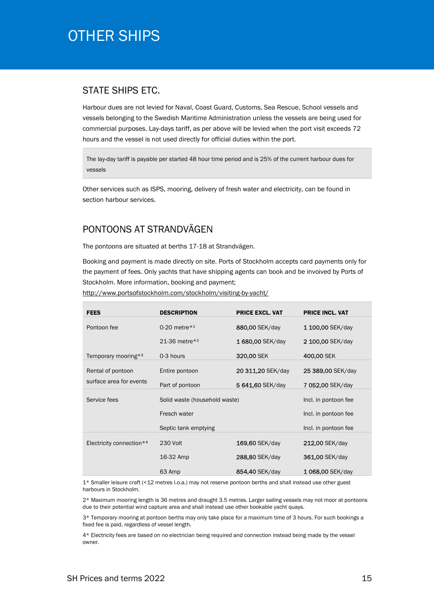## OTHER SHIPS

## STATE SHIPS ETC.

Harbour dues are not levied for Naval, Coast Guard, Customs, Sea Rescue, School vessels and vessels belonging to the Swedish Maritime Administration unless the vessels are being used for commercial purposes. Lay-days tariff, as per above will be levied when the port visit exceeds 72 hours and the vessel is not used directly for official duties within the port.

The lay-day tariff is payable per started 48 hour time period and is 25% of the current harbour dues for vessels

Other services such as ISPS, mooring, delivery of fresh water and electricity, can be found in section harbour services.

## PONTOONS AT STRANDVÄGEN

The pontoons are situated at berths 17-18 at Strandvägen.

Booking and payment is made directly on site. Ports of Stockholm accepts card payments only for the payment of fees. Only yachts that have shipping agents can book and be invoived by Ports of Stockholm. More information, booking and payment;

http://www.portsofstockholm.com/stockholm/visiting-by-yacht/

| <b>FEES</b>                     | <b>DESCRIPTION</b>            | <b>PRICE EXCL. VAT</b> | <b>PRICE INCL. VAT</b> |
|---------------------------------|-------------------------------|------------------------|------------------------|
| Pontoon fee                     | 0-20 metre $*1$               | 880,00 SEK/day         | 1 100,00 SEK/day       |
|                                 | 21-36 metre*2                 | 1680,00 SEK/day        | 2 100,00 SEK/day       |
| Temporary mooring* <sup>3</sup> | 0-3 hours                     | 320,00 SEK             | 400,00 SEK             |
| Rental of pontoon               | Entire pontoon                | 20 311,20 SEK/day      | 25 389,00 SEK/day      |
| surface area for events         | Part of pontoon               | 5 641,60 SEK/day       | 7052,00 SEK/day        |
| Service fees                    | Solid waste (household waste) |                        | Incl. in pontoon fee   |
|                                 | Fresch water                  |                        | Incl. in pontoon fee   |
|                                 | Septic tank emptying          |                        | Incl. in pontoon fee   |
| Electricity connection*4        | 230 Volt                      | 169,60 SEK/day         | 212,00 SEK/day         |
|                                 | 16-32 Amp                     | 288,80 SEK/day         | 361,00 SEK/day         |
|                                 | 63 Amp                        | 854,40 SEK/day         | 1068,00 SEK/day        |

1\* Smaller leisure craft (<12 metres l.o.a.) may not reserve pontoon berths and shall instead use other guest harbours in Stockholm.

2\* Maximum mooring length is 36 metres and draught 3.5 metres. Larger sailing vessels may not moor at pontoons due to their potential wind capture area and shall instead use other bookable yacht quays.

3\* Temporary mooring at pontoon berths may only take place for a maximum time of 3 hours. For such bookings a fixed fee is paid, regardless of vessel length.

4\* Electricity fees are based on no electrician being required and connection instead being made by the vessel owner.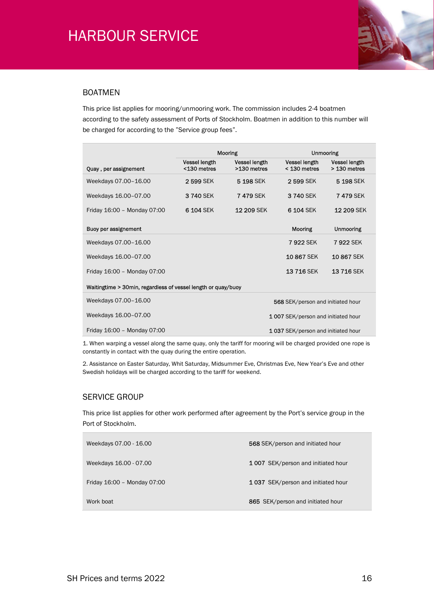

### BOATMEN

This price list applies for mooring/unmooring work. The commission includes 2-4 boatmen according to the safety assessment of Ports of Stockholm. Boatmen in addition to this number will be charged for according to the "Service group fees".

|                                                               |                                     | <b>Mooring</b>                      | <b>Unmooring</b>                       |                                      |  |
|---------------------------------------------------------------|-------------------------------------|-------------------------------------|----------------------------------------|--------------------------------------|--|
| Quay, per assignement                                         | <b>Vessel length</b><br><130 metres | <b>Vessel length</b><br>>130 metres | <b>Vessel length</b><br>$<$ 130 metres | <b>Vessel length</b><br>> 130 metres |  |
| Weekdays 07.00-16.00                                          | 2599 SEK                            | 5 198 SEK                           | 2 599 SEK                              | 5 198 SEK                            |  |
| Weekdays 16.00-07.00                                          | 3 740 SEK                           | <b>7479 SEK</b>                     | 3 740 SEK                              | <b>7479 SEK</b>                      |  |
| Friday 16:00 - Monday 07:00                                   | 6 104 SEK                           | <b>12 209 SEK</b>                   | 6 104 SEK                              | <b>12 209 SEK</b>                    |  |
| Buoy per assignement                                          |                                     |                                     | <b>Mooring</b>                         | <b>Unmooring</b>                     |  |
| Weekdays 07.00-16.00                                          |                                     |                                     | 7922 SEK                               | <b>7 922 SEK</b>                     |  |
| Weekdays 16.00-07.00                                          |                                     |                                     | 10867 SEK                              | 10 867 SEK                           |  |
| Friday 16:00 - Monday 07:00                                   |                                     |                                     | 13716 SEK                              | 13716 SEK                            |  |
| Waitingtime > 30min, regardless of vessel length or quay/buoy |                                     |                                     |                                        |                                      |  |
| Weekdays 07.00-16.00                                          | 568 SEK/person and initiated hour   |                                     |                                        |                                      |  |
| Weekdays 16.00-07.00                                          | 1007 SEK/person and initiated hour  |                                     |                                        |                                      |  |
| Friday 16:00 - Monday 07:00                                   |                                     |                                     | 1037 SEK/person and initiated hour     |                                      |  |

1. When warping a vessel along the same quay, only the tariff for mooring will be charged provided one rope is constantly in contact with the quay during the entire operation.

2. Assistance on Easter Saturday, Whit Saturday, Midsummer Eve, Christmas Eve, New Year's Eve and other Swedish holidays will be charged according to the tariff for weekend.

### SERVICE GROUP

This price list applies for other work performed after agreement by the Port's service group in the Port of Stockholm.

| Weekdays 07.00 - 16.00      | 568 SEK/person and initiated hour         |
|-----------------------------|-------------------------------------------|
| Weekdays 16.00 - 07.00      | <b>1007</b> SEK/person and initiated hour |
| Friday 16:00 - Monday 07:00 | 1037 SEK/person and initiated hour        |
| Work boat                   | 865 SEK/person and initiated hour         |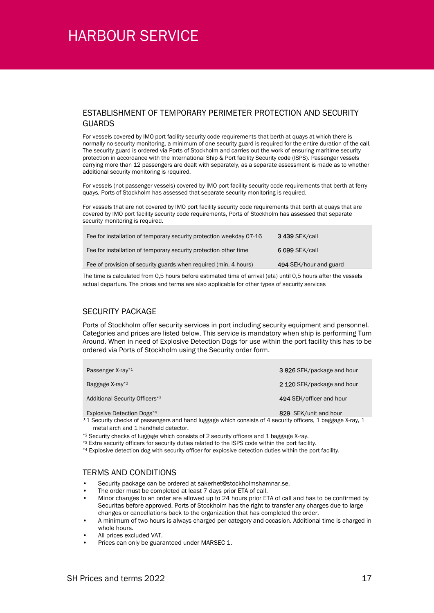#### ESTABLISHMENT OF TEMPORARY PERIMETER PROTECTION AND SECURITY GUARDS

For vessels covered by IMO port facility security code requirements that berth at quays at which there is normally no security monitoring, a minimum of one security guard is required for the entire duration of the call. The security guard is ordered via Ports of Stockholm and carries out the work of ensuring maritime security protection in accordance with the International Ship & Port facility Security code (ISPS). Passenger vessels carrying more than 12 passengers are dealt with separately, as a separate assessment is made as to whether additional security monitoring is required.

For vessels (not passenger vessels) covered by IMO port facility security code requirements that berth at ferry quays, Ports of Stockholm has assessed that separate security monitoring is required.

For vessels that are not covered by IMO port facility security code requirements that berth at quays that are covered by IMO port facility security code requirements, Ports of Stockholm has assessed that separate security monitoring is required.

| Fee for installation of temporary security protection weekday 07-16 | <b>3 439 SEK/call</b>  |
|---------------------------------------------------------------------|------------------------|
| Fee for installation of temporary security protection other time    | 6 099 SEK/call         |
| Fee of provision of security guards when required (min. 4 hours)    | 494 SEK/hour and guard |
|                                                                     |                        |

The time is calculated from 0,5 hours before estimated tima of arrival (eta) until 0,5 hours after the vessels actual departure. The prices and terms are also applicable for other types of security services

## SECURITY PACKAGE

Ports of Stockholm offer security services in port including security equipment and personnel. Categories and prices are listed below. This service is mandatory when ship is performing Turn Around. When in need of Explosive Detection Dogs for use within the port facility this has to be ordered via Ports of Stockholm using the Security order form.

| Passenger X-ray*1                          | 3 826 SEK/package and hour |
|--------------------------------------------|----------------------------|
| Baggage X-ray <sup>*2</sup>                | 2 120 SEK/package and hour |
| Additional Security Officers <sup>*3</sup> | 494 SEK/officer and hour   |
| Explosive Detection Dogs <sup>*4</sup>     | 829 SEK/unit and hour      |

\*1 Security checks of passengers and hand luggage which consists of 4 security officers, 1 baggage X-ray, 1 metal arch and 1 handheld detector.

\*2 Security checks of luggage which consists of 2 security officers and 1 baggage X-ray.

\*3 Extra security officers for security duties related to the ISPS code within the port facility.

\*4 Explosive detection dog with security officer for explosive detection duties within the port facility.

#### TERMS AND CONDITIONS

- Security package can be ordered at sakerhet@stockholmshamnar.se.
- The order must be completed at least 7 days prior ETA of call.
- Minor changes to an order are allowed up to 24 hours prior ETA of call and has to be confirmed by Securitas before approved. Ports of Stockholm has the right to transfer any charges due to large changes or cancellations back to the organization that has completed the order.
- A minimum of two hours is always charged per category and occasion. Additional time is charged in whole hours.
- All prices excluded VAT.
- Prices can only be guaranteed under MARSEC 1.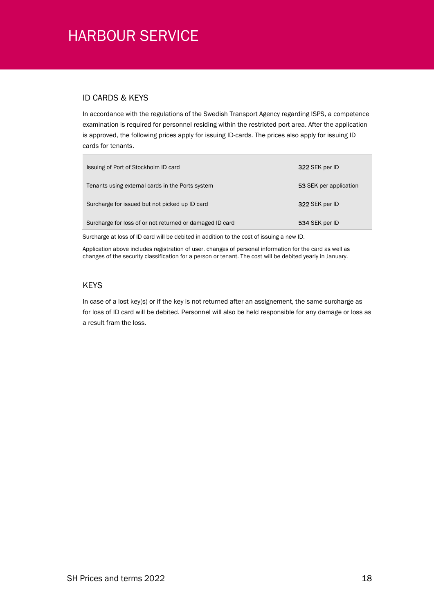### ID CARDS & KEYS

In accordance with the regulations of the Swedish Transport Agency regarding ISPS, a competence examination is required for personnel residing within the restricted port area. After the application is approved, the following prices apply for issuing ID-cards. The prices also apply for issuing ID cards for tenants.

| Issuing of Port of Stockholm ID card                     | 322 SEK per ID         |
|----------------------------------------------------------|------------------------|
| Tenants using external cards in the Ports system         | 53 SEK per application |
| Surcharge for issued but not picked up ID card           | 322 SEK per ID         |
| Surcharge for loss of or not returned or damaged ID card | 534 SEK per ID         |

Surcharge at loss of ID card will be debited in addition to the cost of issuing a new ID.

Application above includes registration of user, changes of personal information for the card as well as changes of the security classification for a person or tenant. The cost will be debited yearly in January.

### **KEYS**

In case of a lost key(s) or if the key is not returned after an assignement, the same surcharge as for loss of ID card will be debited. Personnel will also be held responsible for any damage or loss as a result fram the loss.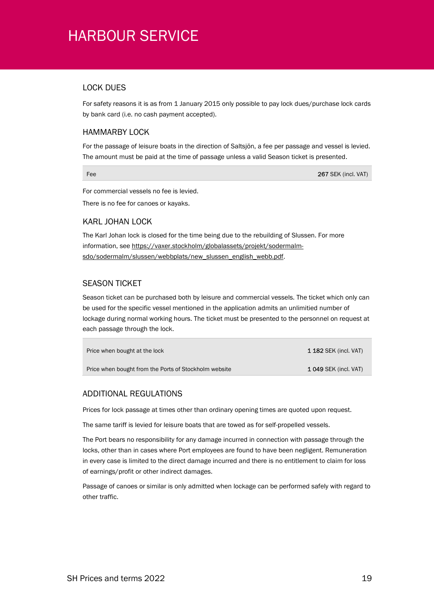### LOCK DUES

For safety reasons it is as from 1 January 2015 only possible to pay lock dues/purchase lock cards by bank card (i.e. no cash payment accepted).

### HAMMARBY LOCK

For the passage of leisure boats in the direction of Saltsjön, a fee per passage and vessel is levied. The amount must be paid at the time of passage unless a valid Season ticket is presented.

Fee 267 SEK (incl. VAT)

For commercial vessels no fee is levied.

There is no fee for canoes or kayaks.

### KARL JOHAN LOCK

The Karl Johan lock is closed for the time being due to the rebuilding of Slussen. For more information, see https://vaxer.stockholm/globalassets/projekt/sodermalmsdo/sodermalm/slussen/webbplats/new\_slussen\_english\_webb.pdf.

### SEASON TICKET

Season ticket can be purchased both by leisure and commercial vessels. The ticket which only can be used for the specific vessel mentioned in the application admits an unlimitied number of lockage during normal working hours. The ticket must be presented to the personnel on request at each passage through the lock.

| Price when bought at the lock                         | <b>1 182 SEK (incl. VAT)</b> |
|-------------------------------------------------------|------------------------------|
| Price when bought from the Ports of Stockholm website | <b>1 049 SEK (incl. VAT)</b> |

## ADDITIONAL REGULATIONS

Prices for lock passage at times other than ordinary opening times are quoted upon request.

The same tariff is levied for leisure boats that are towed as for self-propelled vessels.

The Port bears no responsibility for any damage incurred in connection with passage through the locks, other than in cases where Port employees are found to have been negligent. Remuneration in every case is limited to the direct damage incurred and there is no entitlement to claim for loss of earnings/profit or other indirect damages.

Passage of canoes or similar is only admitted when lockage can be performed safely with regard to other traffic.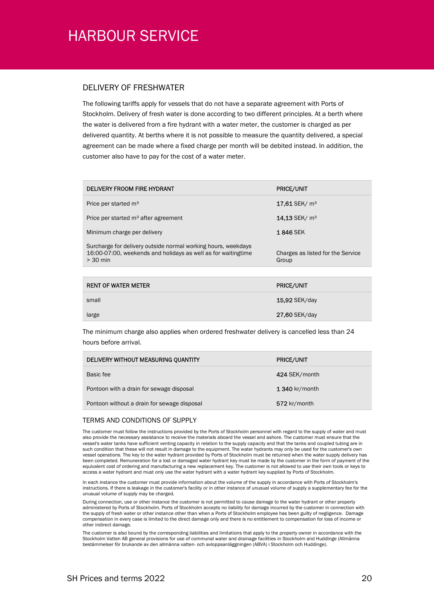#### DELIVERY OF FRESHWATER

The following tariffs apply for vessels that do not have a separate agreement with Ports of Stockholm. Delivery of fresh water is done according to two different principles. At a berth where the water is delivered from a fire hydrant with a water meter, the customer is charged as per delivered quantity. At berths where it is not possible to measure the quantity delivered, a special agreement can be made where a fixed charge per month will be debited instead. In addition, the customer also have to pay for the cost of a water meter.

| DELIVERY FROOM FIRE HYDRANT                                                                                                                  | <b>PRICE/UNIT</b>                          |
|----------------------------------------------------------------------------------------------------------------------------------------------|--------------------------------------------|
| Price per started m <sup>3</sup>                                                                                                             | $17,61$ SEK/ $m3$                          |
| Price per started m <sup>3</sup> after agreement                                                                                             | 14.13 SEK/ m <sup>3</sup>                  |
| Minimum charge per delivery                                                                                                                  | <b>1846 SEK</b>                            |
| Surcharge for delivery outside normal working hours, weekdays<br>16:00-07:00, weekends and holidays as well as for waitingtime<br>$> 30$ min | Charges as listed for the Service<br>Group |
|                                                                                                                                              |                                            |
| <b>RENT OF WATER METER</b>                                                                                                                   | <b>PRICE/UNIT</b>                          |
| small                                                                                                                                        | <b>15,92 SEK/day</b>                       |
| large                                                                                                                                        | 27,60 SEK/day                              |

The minimum charge also applies when ordered freshwater delivery is cancelled less than 24 hours before arrival.

| <b>PRICE/UNIT</b> |
|-------------------|
| 424 SEK/month     |
| 1 340 kr/month    |
| 572 kr/month      |
|                   |

#### TERMS AND CONDITIONS OF SUPPLY

The customer must follow the instructions provided by the Ports of Stockholm personnel with regard to the supply of water and must also provide the necessary assistance to receive the materials aboard the vessel and ashore. The customer must ensure that the vessel's water tanks have sufficient venting capacity in relation to the supply capacity and that the tanks and coupled tubing are in such condition that these will not result in damage to the equipment. The water hydrants may only be used for the customer's own vessel operations. The key to the water hydrant provided by Ports of Stockholm must be returned when the water supply delivery has been completed. Remuneration for a lost or damaged water hydrant key must be made by the customer in the form of payment of the equivalent cost of ordering and manufacturing a new replacement key. The customer is not allowed to use their own tools or keys to access a water hydrant and must only use the water hydrant with a water hydrant key supplied by Ports of Stockholm.

In each instance the customer must provide information about the volume of the supply in accordance with Ports of Stockholm's instructions. If there is leakage in the customer's facility or in other instance of unusual volume of supply a supplementary fee for the unusual volume of supply may be charged.

During connection, use or other instance the customer is not permitted to cause damage to the water hydrant or other property administered by Ports of Stockholm. Ports of Stockholm accepts no liability for damage incurred by the customer in connection with the supply of fresh water or other instance other than when a Ports of Stockholm employee has been guilty of negligence. Damage compensation in every case is limited to the direct damage only and there is no entitlement to compensation for loss of income or other indirect damage.

The customer is also bound by the corresponding liabilities and limitations that apply to the property owner in accordance with the Stockholm Vatten AB general provisions for use of communal water and drainage facilities in Stockholm and Huddinge (Allmänna bestämmelser för brukande av den allmänna vatten- och avloppsanläggningen (ABVA) i Stockholm och Huddinge).